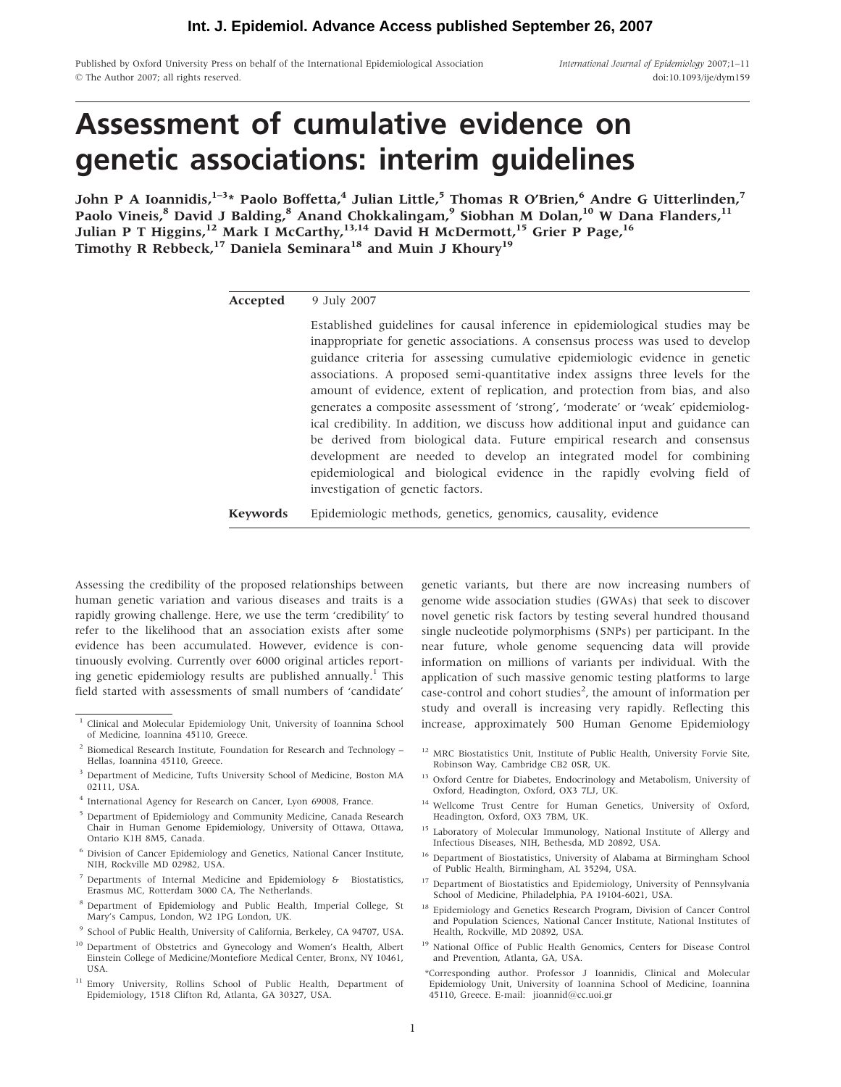Published by Oxford University Press on behalf of the International Epidemiological Association International Journal of Epidemiology 2007;1-11 � The Author 2007; all rights reserved. doi:10.1093/ije/dym159

# Assessment of cumulative evidence on genetic associations: interim guidelines

John P A Ioannidis, <sup>1-3\*</sup> Paolo Boffetta, <sup>4</sup> Julian Little, <sup>5</sup> Thomas R O'Brien, <sup>6</sup> Andre G Uitterlinden, <sup>7</sup> Paolo Vineis,<sup>8</sup> David J Balding,<sup>8</sup> Anand Chokkalingam,<sup>9</sup> Siobhan M Dolan,<sup>10</sup> W Dana Flanders,<sup>11</sup> Julian P T Higgins,<sup>12</sup> Mark I McCarthy,<sup>13,14</sup> David H McDermott,<sup>15</sup> Grier P Page,<sup>16</sup> Timothy R Rebbeck,<sup>17</sup> Daniela Seminara<sup>18</sup> and Muin J Khoury<sup>19</sup>

### Accepted 9 July 2007

Established guidelines for causal inference in epidemiological studies may be inappropriate for genetic associations. A consensus process was used to develop guidance criteria for assessing cumulative epidemiologic evidence in genetic associations. A proposed semi-quantitative index assigns three levels for the amount of evidence, extent of replication, and protection from bias, and also generates a composite assessment of 'strong', 'moderate' or 'weak' epidemiological credibility. In addition, we discuss how additional input and guidance can be derived from biological data. Future empirical research and consensus development are needed to develop an integrated model for combining epidemiological and biological evidence in the rapidly evolving field of investigation of genetic factors.

Keywords Epidemiologic methods, genetics, genomics, causality, evidence

Assessing the credibility of the proposed relationships between human genetic variation and various diseases and traits is a rapidly growing challenge. Here, we use the term 'credibility' to refer to the likelihood that an association exists after some evidence has been accumulated. However, evidence is continuously evolving. Currently over 6000 original articles reporting genetic epidemiology results are published annually.<sup>1</sup> This field started with assessments of small numbers of 'candidate'

- <sup>3</sup> Department of Medicine, Tufts University School of Medicine, Boston MA 02111, USA.
- <sup>4</sup> International Agency for Research on Cancer, Lyon 69008, France.
- <sup>5</sup> Department of Epidemiology and Community Medicine, Canada Research Chair in Human Genome Epidemiology, University of Ottawa, Ottawa, Ontario K1H 8M5, Canada.
- $6$  Division of Cancer Epidemiology and Genetics, National Cancer Institute, NIH, Rockville MD 02982, USA.
- $7$  Departments of Internal Medicine and Epidemiology  $6$  Biostatistics, Erasmus MC, Rotterdam 3000 CA, The Netherlands.
- <sup>8</sup> Department of Epidemiology and Public Health, Imperial College, St Mary's Campus, London, W2 1PG London, UK.
- <sup>9</sup> School of Public Health, University of California, Berkeley, CA 94707, USA.
- <sup>10</sup> Department of Obstetrics and Gynecology and Women's Health, Albert Einstein College of Medicine/Montefiore Medical Center, Bronx, NY 10461, USA.
- <sup>11</sup> Emory University, Rollins School of Public Health, Department of Epidemiology, 1518 Clifton Rd, Atlanta, GA 30327, USA.

genetic variants, but there are now increasing numbers of genome wide association studies (GWAs) that seek to discover novel genetic risk factors by testing several hundred thousand single nucleotide polymorphisms (SNPs) per participant. In the near future, whole genome sequencing data will provide information on millions of variants per individual. With the application of such massive genomic testing platforms to large case-control and cohort studies<sup>2</sup>, the amount of information per study and overall is increasing very rapidly. Reflecting this increase, approximately 500 Human Genome Epidemiology

- <sup>12</sup> MRC Biostatistics Unit, Institute of Public Health, University Forvie Site, Robinson Way, Cambridge CB2 0SR, UK.
- <sup>13</sup> Oxford Centre for Diabetes, Endocrinology and Metabolism, University of Oxford, Headington, Oxford, OX3 7LJ, UK.
- <sup>14</sup> Wellcome Trust Centre for Human Genetics, University of Oxford, Headington, Oxford, OX3 7BM, UK.
- $^{15}$  Laboratory of Molecular Immunology, National Institute of Allergy and Infectious Diseases, NIH, Bethesda, MD 20892, USA.
- <sup>16</sup> Department of Biostatistics, University of Alabama at Birmingham School of Public Health, Birmingham, AL 35294, USA.
- <sup>17</sup> Department of Biostatistics and Epidemiology, University of Pennsylvania School of Medicine, Philadelphia, PA 19104-6021, USA.
- <sup>18</sup> Epidemiology and Genetics Research Program, Division of Cancer Control and Population Sciences, National Cancer Institute, National Institutes of Health, Rockville, MD 20892, USA.
- <sup>19</sup> National Office of Public Health Genomics, Centers for Disease Control and Prevention, Atlanta, GA, USA.
- \*Corresponding author. Professor J Ioannidis, Clinical and Molecular Epidemiology Unit, University of Ioannina School of Medicine, Ioannina 45110, Greece. E-mail: jioannid@cc.uoi.gr

 $^{\rm 1}$  Clinical and Molecular Epidemiology Unit, University of Ioannina School of Medicine, Ioannina 45110, Greece.

 $2$  Biomedical Research Institute, Foundation for Research and Technology – Hellas, Ioannina 45110, Greece.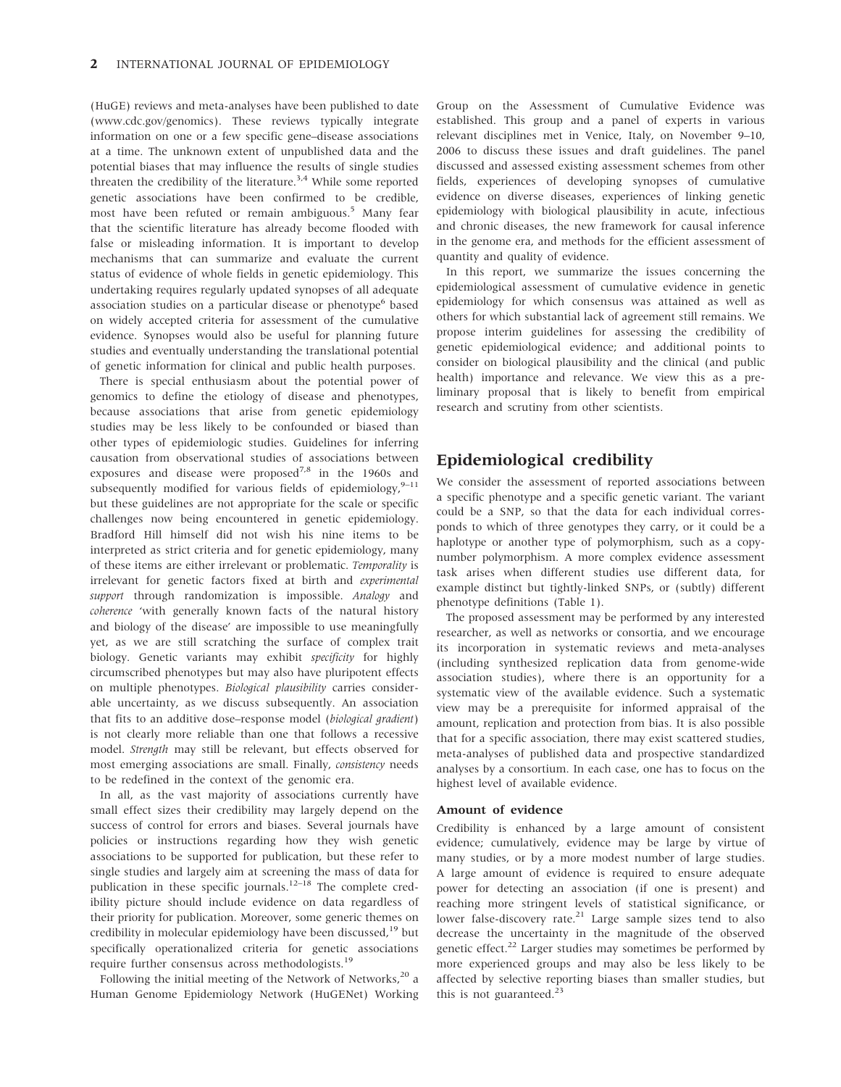(HuGE) reviews and meta-analyses have been published to date (www.cdc.gov/genomics). These reviews typically integrate information on one or a few specific gene–disease associations at a time. The unknown extent of unpublished data and the potential biases that may influence the results of single studies threaten the credibility of the literature.<sup>3,4</sup> While some reported genetic associations have been confirmed to be credible, most have been refuted or remain ambiguous.<sup>5</sup> Many fear that the scientific literature has already become flooded with false or misleading information. It is important to develop mechanisms that can summarize and evaluate the current status of evidence of whole fields in genetic epidemiology. This undertaking requires regularly updated synopses of all adequate association studies on a particular disease or phenotype<sup>6</sup> based on widely accepted criteria for assessment of the cumulative evidence. Synopses would also be useful for planning future studies and eventually understanding the translational potential of genetic information for clinical and public health purposes.

There is special enthusiasm about the potential power of genomics to define the etiology of disease and phenotypes, because associations that arise from genetic epidemiology studies may be less likely to be confounded or biased than other types of epidemiologic studies. Guidelines for inferring causation from observational studies of associations between exposures and disease were proposed $^{7,8}$  in the 1960s and subsequently modified for various fields of epidemiology, $9-11$ but these guidelines are not appropriate for the scale or specific challenges now being encountered in genetic epidemiology. Bradford Hill himself did not wish his nine items to be interpreted as strict criteria and for genetic epidemiology, many of these items are either irrelevant or problematic. Temporality is irrelevant for genetic factors fixed at birth and experimental support through randomization is impossible. Analogy and coherence 'with generally known facts of the natural history and biology of the disease' are impossible to use meaningfully yet, as we are still scratching the surface of complex trait biology. Genetic variants may exhibit specificity for highly circumscribed phenotypes but may also have pluripotent effects on multiple phenotypes. Biological plausibility carries considerable uncertainty, as we discuss subsequently. An association that fits to an additive dose–response model (biological gradient) is not clearly more reliable than one that follows a recessive model. Strength may still be relevant, but effects observed for most emerging associations are small. Finally, consistency needs to be redefined in the context of the genomic era.

In all, as the vast majority of associations currently have small effect sizes their credibility may largely depend on the success of control for errors and biases. Several journals have policies or instructions regarding how they wish genetic associations to be supported for publication, but these refer to single studies and largely aim at screening the mass of data for publication in these specific journals.<sup>12–18</sup> The complete credibility picture should include evidence on data regardless of their priority for publication. Moreover, some generic themes on credibility in molecular epidemiology have been discussed,<sup>19</sup> but specifically operationalized criteria for genetic associations require further consensus across methodologists.<sup>19</sup>

Following the initial meeting of the Network of Networks,  $^{20}$  a Human Genome Epidemiology Network (HuGENet) Working

Group on the Assessment of Cumulative Evidence was established. This group and a panel of experts in various relevant disciplines met in Venice, Italy, on November 9–10, 2006 to discuss these issues and draft guidelines. The panel discussed and assessed existing assessment schemes from other fields, experiences of developing synopses of cumulative evidence on diverse diseases, experiences of linking genetic epidemiology with biological plausibility in acute, infectious and chronic diseases, the new framework for causal inference in the genome era, and methods for the efficient assessment of quantity and quality of evidence.

In this report, we summarize the issues concerning the epidemiological assessment of cumulative evidence in genetic epidemiology for which consensus was attained as well as others for which substantial lack of agreement still remains. We propose interim guidelines for assessing the credibility of genetic epidemiological evidence; and additional points to consider on biological plausibility and the clinical (and public health) importance and relevance. We view this as a preliminary proposal that is likely to benefit from empirical research and scrutiny from other scientists.

# Epidemiological credibility

We consider the assessment of reported associations between a specific phenotype and a specific genetic variant. The variant could be a SNP, so that the data for each individual corresponds to which of three genotypes they carry, or it could be a haplotype or another type of polymorphism, such as a copynumber polymorphism. A more complex evidence assessment task arises when different studies use different data, for example distinct but tightly-linked SNPs, or (subtly) different phenotype definitions (Table 1).

The proposed assessment may be performed by any interested researcher, as well as networks or consortia, and we encourage its incorporation in systematic reviews and meta-analyses (including synthesized replication data from genome-wide association studies), where there is an opportunity for a systematic view of the available evidence. Such a systematic view may be a prerequisite for informed appraisal of the amount, replication and protection from bias. It is also possible that for a specific association, there may exist scattered studies, meta-analyses of published data and prospective standardized analyses by a consortium. In each case, one has to focus on the highest level of available evidence.

#### Amount of evidence

Credibility is enhanced by a large amount of consistent evidence; cumulatively, evidence may be large by virtue of many studies, or by a more modest number of large studies. A large amount of evidence is required to ensure adequate power for detecting an association (if one is present) and reaching more stringent levels of statistical significance, or lower false-discovery rate.<sup>21</sup> Large sample sizes tend to also decrease the uncertainty in the magnitude of the observed genetic effect. $^{22}$  Larger studies may sometimes be performed by more experienced groups and may also be less likely to be affected by selective reporting biases than smaller studies, but this is not guaranteed. $23$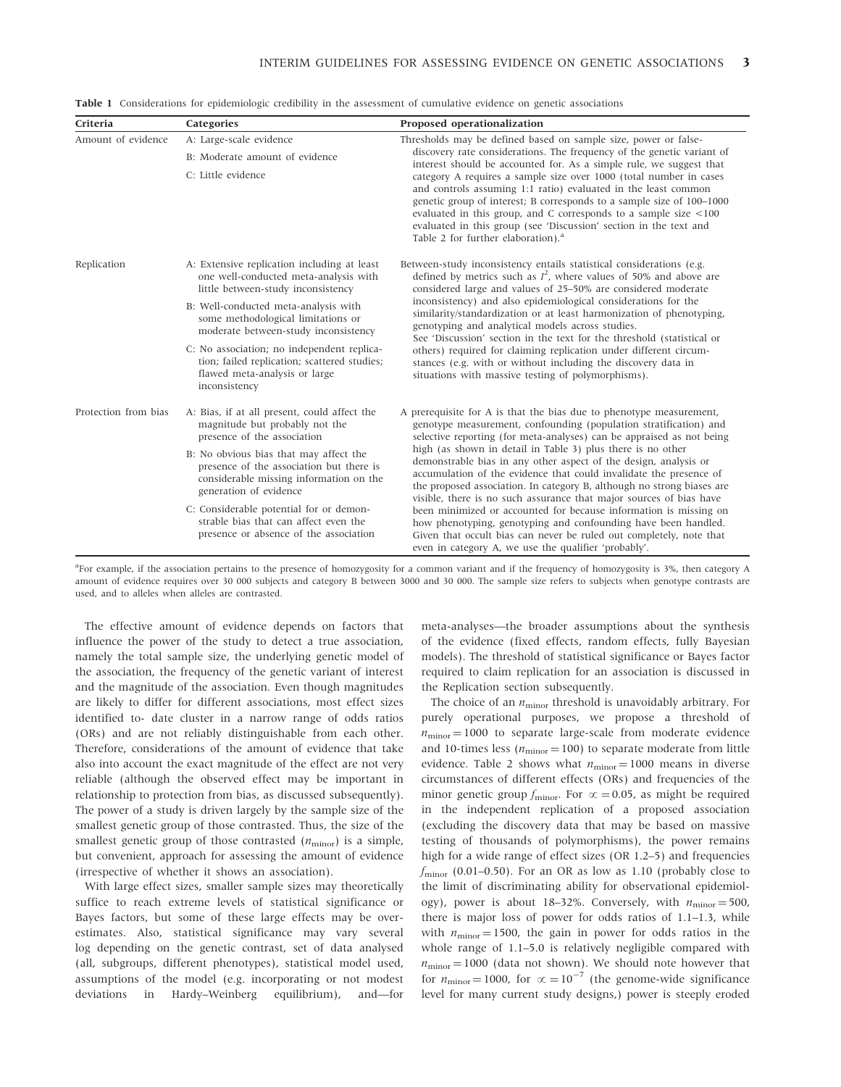| Criteria             | Categories                                                                                                                                              | Proposed operationalization                                                                                                                                                                                                                                                                                                                                                                                                                                                                                                                                                                                                        |  |  |
|----------------------|---------------------------------------------------------------------------------------------------------------------------------------------------------|------------------------------------------------------------------------------------------------------------------------------------------------------------------------------------------------------------------------------------------------------------------------------------------------------------------------------------------------------------------------------------------------------------------------------------------------------------------------------------------------------------------------------------------------------------------------------------------------------------------------------------|--|--|
| Amount of evidence   | A: Large-scale evidence<br>B: Moderate amount of evidence<br>C: Little evidence                                                                         | Thresholds may be defined based on sample size, power or false-<br>discovery rate considerations. The frequency of the genetic variant of<br>interest should be accounted for. As a simple rule, we suggest that<br>category A requires a sample size over 1000 (total number in cases<br>and controls assuming 1:1 ratio) evaluated in the least common<br>genetic group of interest; B corresponds to a sample size of 100–1000<br>evaluated in this group, and C corresponds to a sample size $\leq 100$<br>evaluated in this group (see 'Discussion' section in the text and<br>Table 2 for further elaboration). <sup>a</sup> |  |  |
|                      |                                                                                                                                                         |                                                                                                                                                                                                                                                                                                                                                                                                                                                                                                                                                                                                                                    |  |  |
| Replication          | A: Extensive replication including at least<br>one well-conducted meta-analysis with<br>little between-study inconsistency                              | Between-study inconsistency entails statistical considerations (e.g.<br>defined by metrics such as $I^2$ , where values of 50% and above are<br>considered large and values of 25–50% are considered moderate                                                                                                                                                                                                                                                                                                                                                                                                                      |  |  |
|                      | B: Well-conducted meta-analysis with<br>some methodological limitations or<br>moderate between-study inconsistency                                      | inconsistency) and also epidemiological considerations for the<br>similarity/standardization or at least harmonization of phenotyping,<br>genotyping and analytical models across studies.<br>See 'Discussion' section in the text for the threshold (statistical or                                                                                                                                                                                                                                                                                                                                                               |  |  |
|                      | C: No association; no independent replica-<br>tion; failed replication; scattered studies;<br>flawed meta-analysis or large<br>inconsistency            | others) required for claiming replication under different circum-<br>stances (e.g. with or without including the discovery data in<br>situations with massive testing of polymorphisms).                                                                                                                                                                                                                                                                                                                                                                                                                                           |  |  |
| Protection from bias | A: Bias, if at all present, could affect the<br>magnitude but probably not the<br>presence of the association                                           | A prerequisite for A is that the bias due to phenotype measurement,<br>genotype measurement, confounding (population stratification) and<br>selective reporting (for meta-analyses) can be appraised as not being                                                                                                                                                                                                                                                                                                                                                                                                                  |  |  |
|                      | B: No obvious bias that may affect the<br>presence of the association but there is<br>considerable missing information on the<br>generation of evidence | high (as shown in detail in Table 3) plus there is no other<br>demonstrable bias in any other aspect of the design, analysis or<br>accumulation of the evidence that could invalidate the presence of<br>the proposed association. In category B, although no strong biases are<br>visible, there is no such assurance that major sources of bias have                                                                                                                                                                                                                                                                             |  |  |
|                      | C: Considerable potential for or demon-<br>strable bias that can affect even the<br>presence or absence of the association                              | been minimized or accounted for because information is missing on<br>how phenotyping, genotyping and confounding have been handled.<br>Given that occult bias can never be ruled out completely, note that<br>even in category A, we use the qualifier 'probably'.                                                                                                                                                                                                                                                                                                                                                                 |  |  |

Table 1 Considerations for epidemiologic credibility in the assessment of cumulative evidence on genetic associations



The effective amount of evidence depends on factors that influence the power of the study to detect a true association, namely the total sample size, the underlying genetic model of the association, the frequency of the genetic variant of interest and the magnitude of the association. Even though magnitudes are likely to differ for different associations, most effect sizes identified to- date cluster in a narrow range of odds ratios (ORs) and are not reliably distinguishable from each other. Therefore, considerations of the amount of evidence that take also into account the exact magnitude of the effect are not very reliable (although the observed effect may be important in relationship to protection from bias, as discussed subsequently). The power of a study is driven largely by the sample size of the smallest genetic group of those contrasted. Thus, the size of the smallest genetic group of those contrasted  $(n_{\text{minor}})$  is a simple, but convenient, approach for assessing the amount of evidence (irrespective of whether it shows an association).

With large effect sizes, smaller sample sizes may theoretically suffice to reach extreme levels of statistical significance or Bayes factors, but some of these large effects may be overestimates. Also, statistical significance may vary several log depending on the genetic contrast, set of data analysed (all, subgroups, different phenotypes), statistical model used, assumptions of the model (e.g. incorporating or not modest deviations in Hardy–Weinberg equilibrium), and—for meta-analyses—the broader assumptions about the synthesis of the evidence (fixed effects, random effects, fully Bayesian models). The threshold of statistical significance or Bayes factor required to claim replication for an association is discussed in the Replication section subsequently.

The choice of an  $n_{\text{minor}}$  threshold is unavoidably arbitrary. For purely operational purposes, we propose a threshold of  $n_{\text{minor}} = 1000$  to separate large-scale from moderate evidence and 10-times less ( $n_{\text{minor}} = 100$ ) to separate moderate from little evidence. Table 2 shows what  $n_{\text{minor}} = 1000$  means in diverse circumstances of different effects (ORs) and frequencies of the minor genetic group  $f_{\text{minor}}$ . For  $\alpha = 0.05$ , as might be required in the independent replication of a proposed association (excluding the discovery data that may be based on massive testing of thousands of polymorphisms), the power remains high for a wide range of effect sizes (OR 1.2–5) and frequencies  $f_{\text{minor}}$  (0.01–0.50). For an OR as low as 1.10 (probably close to the limit of discriminating ability for observational epidemiology), power is about 18–32%. Conversely, with  $n_{\text{minor}} = 500$ , there is major loss of power for odds ratios of 1.1–1.3, while with  $n_{\text{minor}} = 1500$ , the gain in power for odds ratios in the whole range of 1.1–5.0 is relatively negligible compared with  $n_{\text{minor}} = 1000$  (data not shown). We should note however that for  $n_{\text{minor}} = 1000$ , for  $\alpha = 10^{-7}$  (the genome-wide significance level for many current study designs,) power is steeply eroded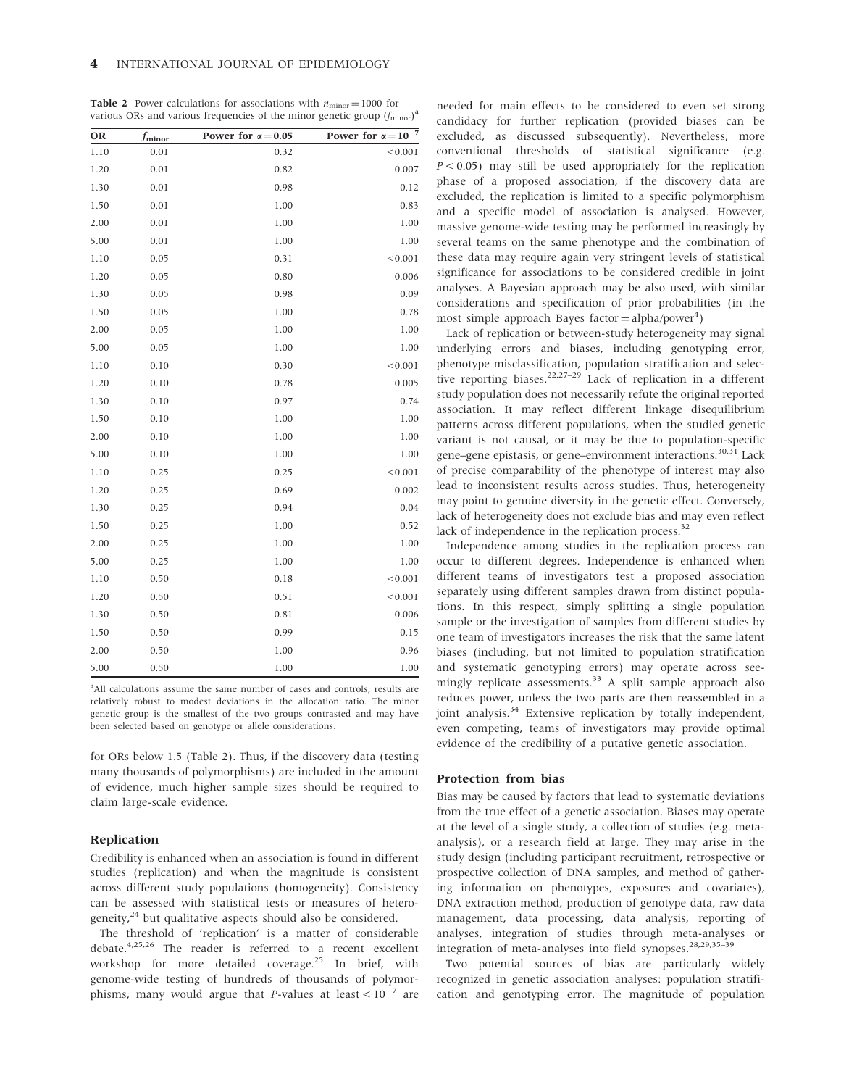**Table 2** Power calculations for associations with  $n_{\text{minor}} = 1000$  for various ORs and various frequencies of the minor genetic group  $(f_{\text{minor}})^a$ 

| <b>OR</b> | $f_{\rm minor}$ | Power for $\alpha = 0.05$ | Power for $\alpha = 10^{-7}$ |
|-----------|-----------------|---------------------------|------------------------------|
| 1.10      | 0.01            | 0.32                      | < 0.001                      |
| $1.20\,$  | 0.01            | 0.82                      | 0.007                        |
| 1.30      | 0.01            | 0.98                      | 0.12                         |
| 1.50      | 0.01            | 1.00                      | 0.83                         |
| 2.00      | 0.01            | 1.00                      | 1.00                         |
| 5.00      | 0.01            | 1.00                      | 1.00                         |
| 1.10      | 0.05            | 0.31                      | < 0.001                      |
| 1.20      | 0.05            | 0.80                      | 0.006                        |
| 1.30      | 0.05            | 0.98                      | 0.09                         |
| 1.50      | 0.05            | 1.00                      | 0.78                         |
| 2.00      | 0.05            | 1.00                      | 1.00                         |
| 5.00      | 0.05            | 1.00                      | 1.00                         |
| 1.10      | 0.10            | 0.30                      | < 0.001                      |
| 1.20      | 0.10            | 0.78                      | 0.005                        |
| 1.30      | 0.10            | 0.97                      | 0.74                         |
| 1.50      | 0.10            | 1.00                      | 1.00                         |
| 2.00      | 0.10            | 1.00                      | 1.00                         |
| 5.00      | 0.10            | 1.00                      | 1.00                         |
| 1.10      | 0.25            | 0.25                      | < 0.001                      |
| 1.20      | 0.25            | 0.69                      | 0.002                        |
| 1.30      | 0.25            | 0.94                      | 0.04                         |
| 1.50      | 0.25            | 1.00                      | 0.52                         |
| 2.00      | 0.25            | 1.00                      | 1.00                         |
| 5.00      | 0.25            | 1.00                      | 1.00                         |
| 1.10      | 0.50            | 0.18                      | < 0.001                      |
| 1.20      | 0.50            | 0.51                      | < 0.001                      |
| 1.30      | 0.50            | 0.81                      | 0.006                        |
| 1.50      | 0.50            | 0.99                      | 0.15                         |
| 2.00      | 0.50            | 1.00                      | 0.96                         |
| 5.00      | 0.50            | 1.00                      | 1.00                         |

<sup>a</sup> All calculations assume the same number of cases and controls; results are relatively robust to modest deviations in the allocation ratio. The minor genetic group is the smallest of the two groups contrasted and may have been selected based on genotype or allele considerations.

for ORs below 1.5 (Table 2). Thus, if the discovery data (testing many thousands of polymorphisms) are included in the amount of evidence, much higher sample sizes should be required to claim large-scale evidence.

### Replication

Credibility is enhanced when an association is found in different studies (replication) and when the magnitude is consistent across different study populations (homogeneity). Consistency can be assessed with statistical tests or measures of heterogeneity,<sup>24</sup> but qualitative aspects should also be considered.

The threshold of 'replication' is a matter of considerable debate.4,25,26 The reader is referred to a recent excellent workshop for more detailed coverage.<sup>25</sup> In brief, with genome-wide testing of hundreds of thousands of polymorphisms, many would argue that *P*-values at least  $< 10^{-7}$  are needed for main effects to be considered to even set strong candidacy for further replication (provided biases can be excluded, as discussed subsequently). Nevertheless, more conventional thresholds of statistical significance (e.g.  $P < 0.05$ ) may still be used appropriately for the replication phase of a proposed association, if the discovery data are excluded, the replication is limited to a specific polymorphism and a specific model of association is analysed. However, massive genome-wide testing may be performed increasingly by several teams on the same phenotype and the combination of these data may require again very stringent levels of statistical significance for associations to be considered credible in joint analyses. A Bayesian approach may be also used, with similar considerations and specification of prior probabilities (in the most simple approach Bayes factor  $=$  alpha/power<sup>4</sup>)

Lack of replication or between-study heterogeneity may signal underlying errors and biases, including genotyping error, phenotype misclassification, population stratification and selective reporting biases.<sup>22,27-29</sup> Lack of replication in a different study population does not necessarily refute the original reported association. It may reflect different linkage disequilibrium patterns across different populations, when the studied genetic variant is not causal, or it may be due to population-specific gene–gene epistasis, or gene–environment interactions.<sup>30,31</sup> Lack of precise comparability of the phenotype of interest may also lead to inconsistent results across studies. Thus, heterogeneity may point to genuine diversity in the genetic effect. Conversely, lack of heterogeneity does not exclude bias and may even reflect lack of independence in the replication process.<sup>32</sup>

Independence among studies in the replication process can occur to different degrees. Independence is enhanced when different teams of investigators test a proposed association separately using different samples drawn from distinct populations. In this respect, simply splitting a single population sample or the investigation of samples from different studies by one team of investigators increases the risk that the same latent biases (including, but not limited to population stratification and systematic genotyping errors) may operate across seemingly replicate assessments.<sup>33</sup> A split sample approach also reduces power, unless the two parts are then reassembled in a joint analysis.<sup>34</sup> Extensive replication by totally independent, even competing, teams of investigators may provide optimal evidence of the credibility of a putative genetic association.

#### Protection from bias

Bias may be caused by factors that lead to systematic deviations from the true effect of a genetic association. Biases may operate at the level of a single study, a collection of studies (e.g. metaanalysis), or a research field at large. They may arise in the study design (including participant recruitment, retrospective or prospective collection of DNA samples, and method of gathering information on phenotypes, exposures and covariates), DNA extraction method, production of genotype data, raw data management, data processing, data analysis, reporting of analyses, integration of studies through meta-analyses or integration of meta-analyses into field synopses.28,29,35–39

Two potential sources of bias are particularly widely recognized in genetic association analyses: population stratification and genotyping error. The magnitude of population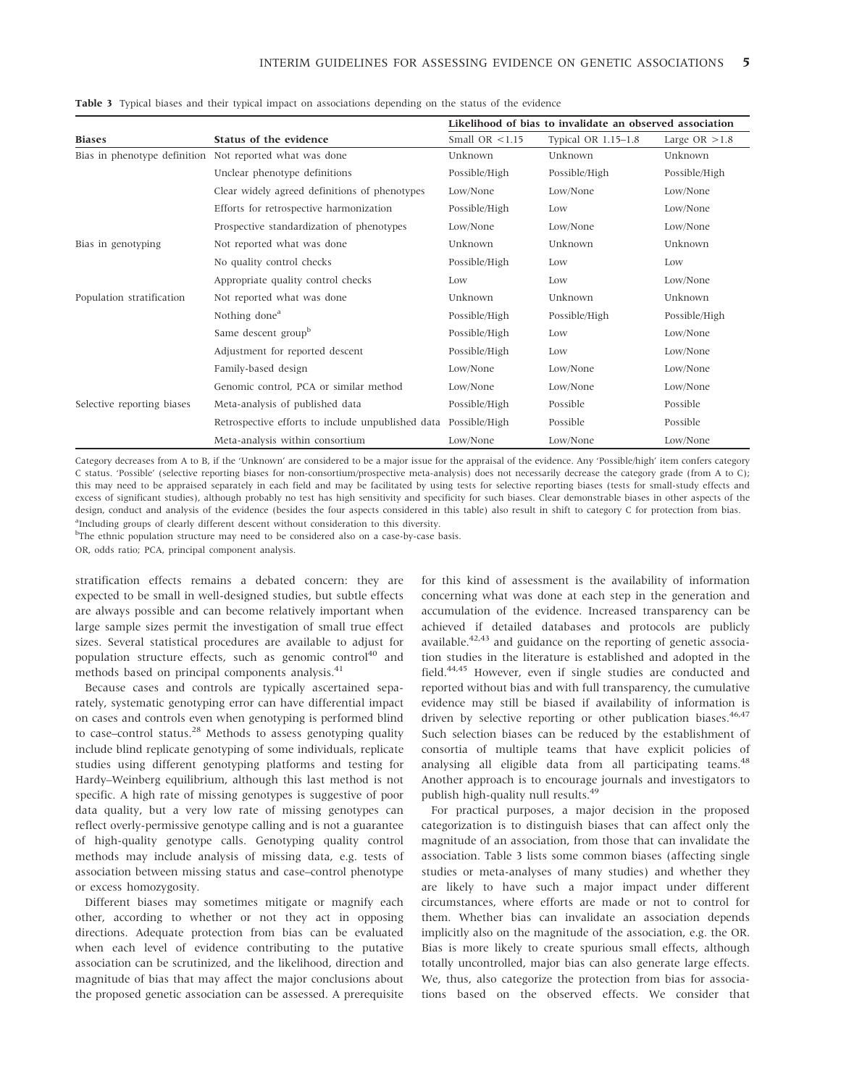|                            |                                                                 | Likelihood of bias to invalidate an observed association |                     |                  |
|----------------------------|-----------------------------------------------------------------|----------------------------------------------------------|---------------------|------------------|
| <b>Biases</b>              | Status of the evidence                                          | Small $OR < 1.15$                                        | Typical OR 1.15-1.8 | Large $OR > 1.8$ |
|                            | Bias in phenotype definition Not reported what was done         | Unknown                                                  | Unknown             | Unknown          |
|                            | Unclear phenotype definitions                                   | Possible/High                                            | Possible/High       | Possible/High    |
|                            | Clear widely agreed definitions of phenotypes                   | Low/None                                                 | Low/None            | Low/None         |
|                            | Efforts for retrospective harmonization                         | Possible/High                                            | Low                 | Low/None         |
|                            | Prospective standardization of phenotypes                       | Low/None                                                 | Low/None            | Low/None         |
| Bias in genotyping         | Not reported what was done                                      | Unknown                                                  | Unknown             | Unknown          |
|                            | No quality control checks                                       | Possible/High                                            | Low                 | Low              |
|                            | Appropriate quality control checks                              | Low                                                      | Low                 | Low/None         |
| Population stratification  | Not reported what was done                                      | Unknown                                                  | Unknown             | Unknown          |
|                            | Nothing done <sup>a</sup>                                       | Possible/High                                            | Possible/High       | Possible/High    |
|                            | Same descent group <sup>b</sup>                                 | Possible/High                                            | Low                 | Low/None         |
|                            | Adjustment for reported descent                                 | Possible/High                                            | Low                 | Low/None         |
|                            | Family-based design                                             | Low/None                                                 | Low/None            | Low/None         |
|                            | Genomic control, PCA or similar method                          | Low/None                                                 | Low/None            | Low/None         |
| Selective reporting biases | Meta-analysis of published data                                 | Possible/High                                            | Possible            | Possible         |
|                            | Retrospective efforts to include unpublished data Possible/High |                                                          | Possible            | Possible         |
|                            | Meta-analysis within consortium                                 | Low/None                                                 | Low/None            | Low/None         |

Table 3 Typical biases and their typical impact on associations depending on the status of the evidence

Category decreases from A to B, if the 'Unknown' are considered to be a major issue for the appraisal of the evidence. Any 'Possible/high' item confers category C status. 'Possible' (selective reporting biases for non-consortium/prospective meta-analysis) does not necessarily decrease the category grade (from A to C); this may need to be appraised separately in each field and may be facilitated by using tests for selective reporting biases (tests for small-study effects and excess of significant studies), although probably no test has high sensitivity and specificity for such biases. Clear demonstrable biases in other aspects of the design, conduct and analysis of the evidence (besides the four aspects considered in this table) also result in shift to category C for protection from bias.

<sup>a</sup>Including groups of clearly different descent without consideration to this diversity.

<sup>b</sup>The ethnic population structure may need to be considered also on a case-by-case basis.

OR, odds ratio; PCA, principal component analysis.

stratification effects remains a debated concern: they are expected to be small in well-designed studies, but subtle effects are always possible and can become relatively important when large sample sizes permit the investigation of small true effect sizes. Several statistical procedures are available to adjust for population structure effects, such as genomic control<sup>40</sup> and methods based on principal components analysis.<sup>41</sup>

Because cases and controls are typically ascertained separately, systematic genotyping error can have differential impact on cases and controls even when genotyping is performed blind to case–control status.<sup>28</sup> Methods to assess genotyping quality include blind replicate genotyping of some individuals, replicate studies using different genotyping platforms and testing for Hardy–Weinberg equilibrium, although this last method is not specific. A high rate of missing genotypes is suggestive of poor data quality, but a very low rate of missing genotypes can reflect overly-permissive genotype calling and is not a guarantee of high-quality genotype calls. Genotyping quality control methods may include analysis of missing data, e.g. tests of association between missing status and case–control phenotype or excess homozygosity.

Different biases may sometimes mitigate or magnify each other, according to whether or not they act in opposing directions. Adequate protection from bias can be evaluated when each level of evidence contributing to the putative association can be scrutinized, and the likelihood, direction and magnitude of bias that may affect the major conclusions about the proposed genetic association can be assessed. A prerequisite for this kind of assessment is the availability of information concerning what was done at each step in the generation and accumulation of the evidence. Increased transparency can be achieved if detailed databases and protocols are publicly available.<sup>42,43</sup> and guidance on the reporting of genetic association studies in the literature is established and adopted in the field.44,45 However, even if single studies are conducted and reported without bias and with full transparency, the cumulative evidence may still be biased if availability of information is driven by selective reporting or other publication biases.<sup>46,47</sup> Such selection biases can be reduced by the establishment of consortia of multiple teams that have explicit policies of analysing all eligible data from all participating teams.<sup>48</sup> Another approach is to encourage journals and investigators to publish high-quality null results.<sup>49</sup>

For practical purposes, a major decision in the proposed categorization is to distinguish biases that can affect only the magnitude of an association, from those that can invalidate the association. Table 3 lists some common biases (affecting single studies or meta-analyses of many studies) and whether they are likely to have such a major impact under different circumstances, where efforts are made or not to control for them. Whether bias can invalidate an association depends implicitly also on the magnitude of the association, e.g. the OR. Bias is more likely to create spurious small effects, although totally uncontrolled, major bias can also generate large effects. We, thus, also categorize the protection from bias for associations based on the observed effects. We consider that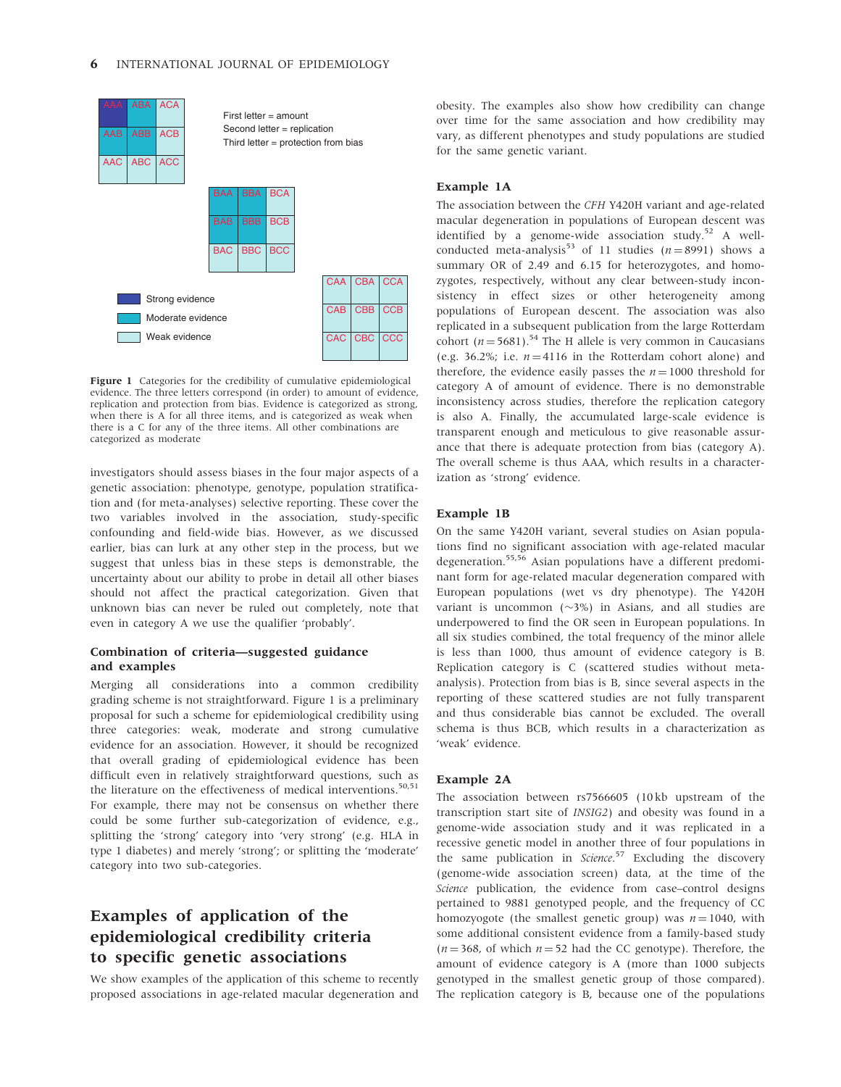

Figure 1 Categories for the credibility of cumulative epidemiological evidence. The three letters correspond (in order) to amount of evidence, replication and protection from bias. Evidence is categorized as strong, when there is A for all three items, and is categorized as weak when there is a C for any of the three items. All other combinations are categorized as moderate

investigators should assess biases in the four major aspects of a genetic association: phenotype, genotype, population stratification and (for meta-analyses) selective reporting. These cover the two variables involved in the association, study-specific confounding and field-wide bias. However, as we discussed earlier, bias can lurk at any other step in the process, but we suggest that unless bias in these steps is demonstrable, the uncertainty about our ability to probe in detail all other biases should not affect the practical categorization. Given that unknown bias can never be ruled out completely, note that even in category A we use the qualifier 'probably'.

### Combination of criteria—suggested guidance and examples

Merging all considerations into a common credibility grading scheme is not straightforward. Figure 1 is a preliminary proposal for such a scheme for epidemiological credibility using three categories: weak, moderate and strong cumulative evidence for an association. However, it should be recognized that overall grading of epidemiological evidence has been difficult even in relatively straightforward questions, such as the literature on the effectiveness of medical interventions. $50,51$ For example, there may not be consensus on whether there could be some further sub-categorization of evidence, e.g., splitting the 'strong' category into 'very strong' (e.g. HLA in type 1 diabetes) and merely 'strong'; or splitting the 'moderate' category into two sub-categories.

# Examples of application of the epidemiological credibility criteria to specific genetic associations

We show examples of the application of this scheme to recently proposed associations in age-related macular degeneration and

obesity. The examples also show how credibility can change over time for the same association and how credibility may vary, as different phenotypes and study populations are studied for the same genetic variant.

### Example 1A

The association between the CFH Y420H variant and age-related macular degeneration in populations of European descent was identified by a genome-wide association study.<sup>52</sup> A wellconducted meta-analysis<sup>53</sup> of 11 studies ( $n = 8991$ ) shows a summary OR of 2.49 and 6.15 for heterozygotes, and homozygotes, respectively, without any clear between-study inconsistency in effect sizes or other heterogeneity among populations of European descent. The association was also replicated in a subsequent publication from the large Rotterdam cohort ( $n = 5681$ ).<sup>54</sup> The H allele is very common in Caucasians (e.g. 36.2%; i.e.  $n = 4116$  in the Rotterdam cohort alone) and therefore, the evidence easily passes the  $n = 1000$  threshold for category A of amount of evidence. There is no demonstrable inconsistency across studies, therefore the replication category is also A. Finally, the accumulated large-scale evidence is transparent enough and meticulous to give reasonable assurance that there is adequate protection from bias (category A). The overall scheme is thus AAA, which results in a characterization as 'strong' evidence.

### Example 1B

On the same Y420H variant, several studies on Asian populations find no significant association with age-related macular degeneration.<sup>55,56</sup> Asian populations have a different predominant form for age-related macular degeneration compared with European populations (wet vs dry phenotype). The Y420H variant is uncommon  $(\sim 3\%)$  in Asians, and all studies are underpowered to find the OR seen in European populations. In all six studies combined, the total frequency of the minor allele is less than 1000, thus amount of evidence category is B. Replication category is C (scattered studies without metaanalysis). Protection from bias is B, since several aspects in the reporting of these scattered studies are not fully transparent and thus considerable bias cannot be excluded. The overall schema is thus BCB, which results in a characterization as 'weak' evidence.

### Example 2A

The association between rs7566605 (10 kb upstream of the transcription start site of INSIG2) and obesity was found in a genome-wide association study and it was replicated in a recessive genetic model in another three of four populations in the same publication in Science.<sup>57</sup> Excluding the discovery (genome-wide association screen) data, at the time of the Science publication, the evidence from case–control designs pertained to 9881 genotyped people, and the frequency of CC homozyogote (the smallest genetic group) was  $n = 1040$ , with some additional consistent evidence from a family-based study  $(n = 368, \text{ of which } n = 52 \text{ had the CC genotype})$ . Therefore, the amount of evidence category is A (more than 1000 subjects genotyped in the smallest genetic group of those compared). The replication category is B, because one of the populations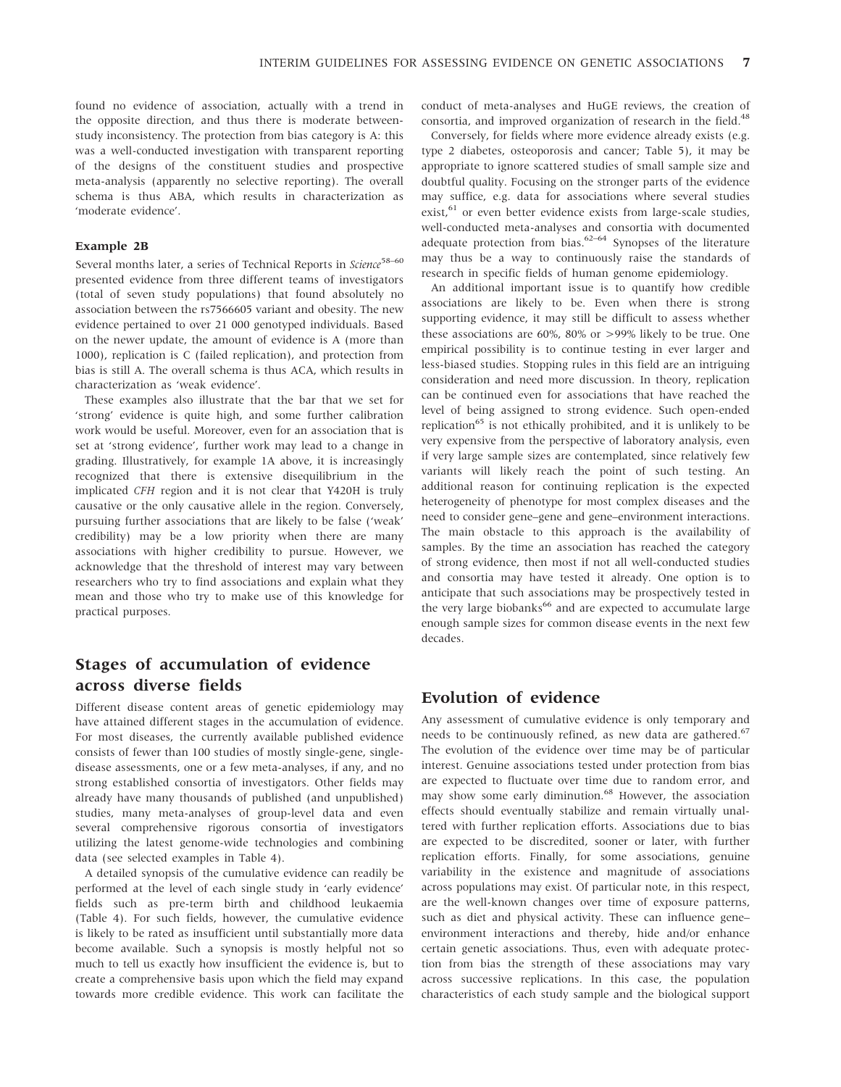found no evidence of association, actually with a trend in the opposite direction, and thus there is moderate betweenstudy inconsistency. The protection from bias category is A: this was a well-conducted investigation with transparent reporting of the designs of the constituent studies and prospective meta-analysis (apparently no selective reporting). The overall schema is thus ABA, which results in characterization as 'moderate evidence'.

### Example 2B

Several months later, a series of Technical Reports in Science<sup>58-60</sup> presented evidence from three different teams of investigators (total of seven study populations) that found absolutely no association between the rs7566605 variant and obesity. The new evidence pertained to over 21 000 genotyped individuals. Based on the newer update, the amount of evidence is A (more than 1000), replication is C (failed replication), and protection from bias is still A. The overall schema is thus ACA, which results in characterization as 'weak evidence'.

These examples also illustrate that the bar that we set for 'strong' evidence is quite high, and some further calibration work would be useful. Moreover, even for an association that is set at 'strong evidence', further work may lead to a change in grading. Illustratively, for example 1A above, it is increasingly recognized that there is extensive disequilibrium in the implicated CFH region and it is not clear that Y420H is truly causative or the only causative allele in the region. Conversely, pursuing further associations that are likely to be false ('weak' credibility) may be a low priority when there are many associations with higher credibility to pursue. However, we acknowledge that the threshold of interest may vary between researchers who try to find associations and explain what they mean and those who try to make use of this knowledge for practical purposes.

# Stages of accumulation of evidence across diverse fields

Different disease content areas of genetic epidemiology may have attained different stages in the accumulation of evidence. For most diseases, the currently available published evidence consists of fewer than 100 studies of mostly single-gene, singledisease assessments, one or a few meta-analyses, if any, and no strong established consortia of investigators. Other fields may already have many thousands of published (and unpublished) studies, many meta-analyses of group-level data and even several comprehensive rigorous consortia of investigators utilizing the latest genome-wide technologies and combining data (see selected examples in Table 4).

A detailed synopsis of the cumulative evidence can readily be performed at the level of each single study in 'early evidence' fields such as pre-term birth and childhood leukaemia (Table 4). For such fields, however, the cumulative evidence is likely to be rated as insufficient until substantially more data become available. Such a synopsis is mostly helpful not so much to tell us exactly how insufficient the evidence is, but to create a comprehensive basis upon which the field may expand towards more credible evidence. This work can facilitate the conduct of meta-analyses and HuGE reviews, the creation of consortia, and improved organization of research in the field.<sup>48</sup>

Conversely, for fields where more evidence already exists (e.g. type 2 diabetes, osteoporosis and cancer; Table 5), it may be appropriate to ignore scattered studies of small sample size and doubtful quality. Focusing on the stronger parts of the evidence may suffice, e.g. data for associations where several studies  $exist<sub>i</sub><sup>61</sup>$  or even better evidence exists from large-scale studies, well-conducted meta-analyses and consortia with documented adequate protection from bias. $62-64$  Synopses of the literature may thus be a way to continuously raise the standards of research in specific fields of human genome epidemiology.

An additional important issue is to quantify how credible associations are likely to be. Even when there is strong supporting evidence, it may still be difficult to assess whether these associations are 60%, 80% or >99% likely to be true. One empirical possibility is to continue testing in ever larger and less-biased studies. Stopping rules in this field are an intriguing consideration and need more discussion. In theory, replication can be continued even for associations that have reached the level of being assigned to strong evidence. Such open-ended replication $^{65}$  is not ethically prohibited, and it is unlikely to be very expensive from the perspective of laboratory analysis, even if very large sample sizes are contemplated, since relatively few variants will likely reach the point of such testing. An additional reason for continuing replication is the expected heterogeneity of phenotype for most complex diseases and the need to consider gene–gene and gene–environment interactions. The main obstacle to this approach is the availability of samples. By the time an association has reached the category of strong evidence, then most if not all well-conducted studies and consortia may have tested it already. One option is to anticipate that such associations may be prospectively tested in the very large biobanks<sup>66</sup> and are expected to accumulate large enough sample sizes for common disease events in the next few decades.

# Evolution of evidence

Any assessment of cumulative evidence is only temporary and needs to be continuously refined, as new data are gathered.<sup>67</sup> The evolution of the evidence over time may be of particular interest. Genuine associations tested under protection from bias are expected to fluctuate over time due to random error, and may show some early diminution.<sup>68</sup> However, the association effects should eventually stabilize and remain virtually unaltered with further replication efforts. Associations due to bias are expected to be discredited, sooner or later, with further replication efforts. Finally, for some associations, genuine variability in the existence and magnitude of associations across populations may exist. Of particular note, in this respect, are the well-known changes over time of exposure patterns, such as diet and physical activity. These can influence gene– environment interactions and thereby, hide and/or enhance certain genetic associations. Thus, even with adequate protection from bias the strength of these associations may vary across successive replications. In this case, the population characteristics of each study sample and the biological support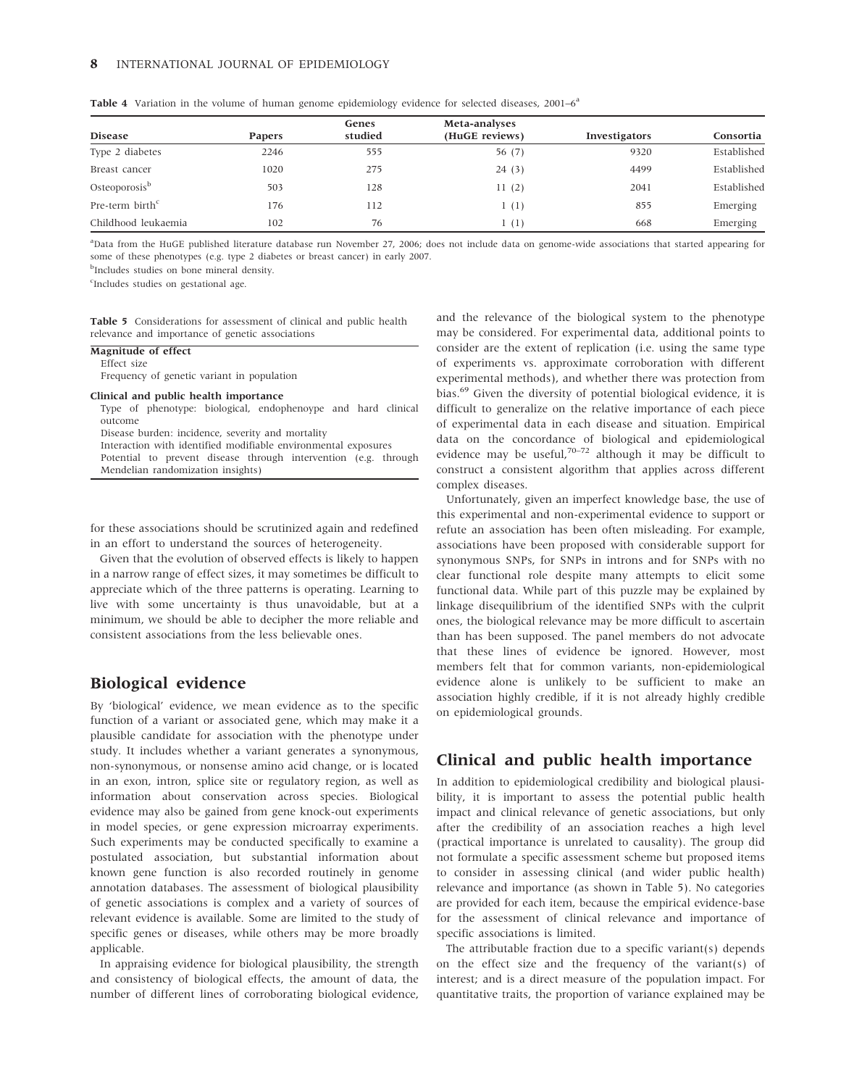|                           |               | Genes   | Meta-analyses  |               |             |
|---------------------------|---------------|---------|----------------|---------------|-------------|
| <b>Disease</b>            | <b>Papers</b> | studied | (HuGE reviews) | Investigators | Consortia   |
| Type 2 diabetes           | 2246          | 555     | 56 (7)         | 9320          | Established |
| Breast cancer             | 1020          | 275     | 24(3)          | 4499          | Established |
| Osteoporosis <sup>b</sup> | 503           | 128     | 11(2)          | 2041          | Established |
| Pre-term $birthc$         | 176           | 112     | 1(1)           | 855           | Emerging    |
| Childhood leukaemia       | 102           | 76      | (1)            | 668           | Emerging    |

**Table 4** Variation in the volume of human genome epidemiology evidence for selected diseases,  $2001-6a$ 

a Data from the HuGE published literature database run November 27, 2006; does not include data on genome-wide associations that started appearing for some of these phenotypes (e.g. type 2 diabetes or breast cancer) in early 2007.

<sup>b</sup>Includes studies on bone mineral density.

c Includes studies on gestational age.

Table 5 Considerations for assessment of clinical and public health relevance and importance of genetic associations

### Magnitude of effect

Effect size

Frequency of genetic variant in population

#### Clinical and public health importance

Type of phenotype: biological, endophenoype and hard clinical outcome

Disease burden: incidence, severity and mortality

Interaction with identified modifiable environmental exposures Potential to prevent disease through intervention (e.g. through Mendelian randomization insights)

for these associations should be scrutinized again and redefined in an effort to understand the sources of heterogeneity.

Given that the evolution of observed effects is likely to happen in a narrow range of effect sizes, it may sometimes be difficult to appreciate which of the three patterns is operating. Learning to live with some uncertainty is thus unavoidable, but at a minimum, we should be able to decipher the more reliable and consistent associations from the less believable ones.

### Biological evidence

By 'biological' evidence, we mean evidence as to the specific function of a variant or associated gene, which may make it a plausible candidate for association with the phenotype under study. It includes whether a variant generates a synonymous, non-synonymous, or nonsense amino acid change, or is located in an exon, intron, splice site or regulatory region, as well as information about conservation across species. Biological evidence may also be gained from gene knock-out experiments in model species, or gene expression microarray experiments. Such experiments may be conducted specifically to examine a postulated association, but substantial information about known gene function is also recorded routinely in genome annotation databases. The assessment of biological plausibility of genetic associations is complex and a variety of sources of relevant evidence is available. Some are limited to the study of specific genes or diseases, while others may be more broadly applicable.

In appraising evidence for biological plausibility, the strength and consistency of biological effects, the amount of data, the number of different lines of corroborating biological evidence,

and the relevance of the biological system to the phenotype may be considered. For experimental data, additional points to consider are the extent of replication (i.e. using the same type of experiments vs. approximate corroboration with different experimental methods), and whether there was protection from bias.<sup>69</sup> Given the diversity of potential biological evidence, it is difficult to generalize on the relative importance of each piece of experimental data in each disease and situation. Empirical data on the concordance of biological and epidemiological evidence may be useful, $70-72$  although it may be difficult to construct a consistent algorithm that applies across different complex diseases.

Unfortunately, given an imperfect knowledge base, the use of this experimental and non-experimental evidence to support or refute an association has been often misleading. For example, associations have been proposed with considerable support for synonymous SNPs, for SNPs in introns and for SNPs with no clear functional role despite many attempts to elicit some functional data. While part of this puzzle may be explained by linkage disequilibrium of the identified SNPs with the culprit ones, the biological relevance may be more difficult to ascertain than has been supposed. The panel members do not advocate that these lines of evidence be ignored. However, most members felt that for common variants, non-epidemiological evidence alone is unlikely to be sufficient to make an association highly credible, if it is not already highly credible on epidemiological grounds.

### Clinical and public health importance

In addition to epidemiological credibility and biological plausibility, it is important to assess the potential public health impact and clinical relevance of genetic associations, but only after the credibility of an association reaches a high level (practical importance is unrelated to causality). The group did not formulate a specific assessment scheme but proposed items to consider in assessing clinical (and wider public health) relevance and importance (as shown in Table 5). No categories are provided for each item, because the empirical evidence-base for the assessment of clinical relevance and importance of specific associations is limited.

The attributable fraction due to a specific variant(s) depends on the effect size and the frequency of the variant(s) of interest; and is a direct measure of the population impact. For quantitative traits, the proportion of variance explained may be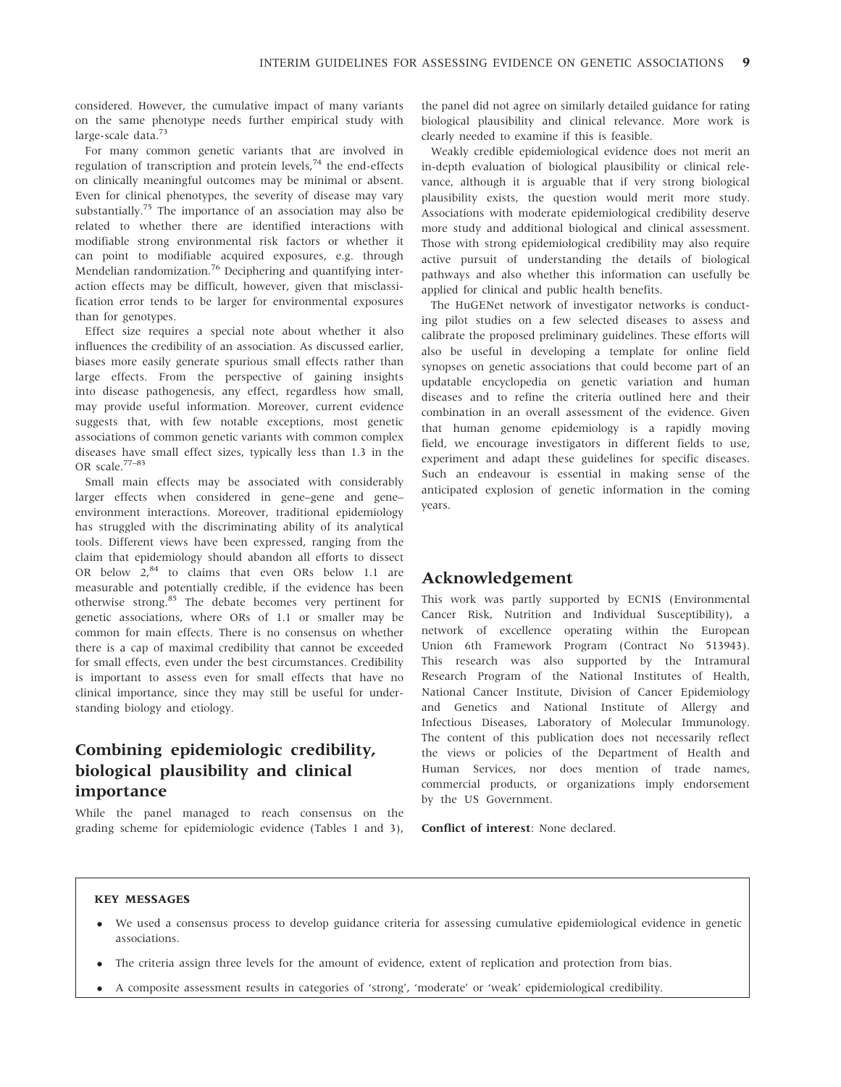considered. However, the cumulative impact of many variants on the same phenotype needs further empirical study with large-scale data.<sup>73</sup>

For many common genetic variants that are involved in regulation of transcription and protein levels,<sup>74</sup> the end-effects on clinically meaningful outcomes may be minimal or absent. Even for clinical phenotypes, the severity of disease may vary substantially.<sup>75</sup> The importance of an association may also be related to whether there are identified interactions with modifiable strong environmental risk factors or whether it can point to modifiable acquired exposures, e.g. through Mendelian randomization.<sup>76</sup> Deciphering and quantifying interaction effects may be difficult, however, given that misclassification error tends to be larger for environmental exposures than for genotypes.

Effect size requires a special note about whether it also influences the credibility of an association. As discussed earlier, biases more easily generate spurious small effects rather than large effects. From the perspective of gaining insights into disease pathogenesis, any effect, regardless how small, may provide useful information. Moreover, current evidence suggests that, with few notable exceptions, most genetic associations of common genetic variants with common complex diseases have small effect sizes, typically less than 1.3 in the OR scale.77–83

Small main effects may be associated with considerably larger effects when considered in gene–gene and gene– environment interactions. Moreover, traditional epidemiology has struggled with the discriminating ability of its analytical tools. Different views have been expressed, ranging from the claim that epidemiology should abandon all efforts to dissect OR below  $2^{84}$  to claims that even ORs below 1.1 are measurable and potentially credible, if the evidence has been otherwise strong.<sup>85</sup> The debate becomes very pertinent for genetic associations, where ORs of 1.1 or smaller may be common for main effects. There is no consensus on whether there is a cap of maximal credibility that cannot be exceeded for small effects, even under the best circumstances. Credibility is important to assess even for small effects that have no clinical importance, since they may still be useful for understanding biology and etiology.

# Combining epidemiologic credibility, biological plausibility and clinical importance

While the panel managed to reach consensus on the grading scheme for epidemiologic evidence (Tables 1 and 3), the panel did not agree on similarly detailed guidance for rating biological plausibility and clinical relevance. More work is clearly needed to examine if this is feasible.

Weakly credible epidemiological evidence does not merit an in-depth evaluation of biological plausibility or clinical relevance, although it is arguable that if very strong biological plausibility exists, the question would merit more study. Associations with moderate epidemiological credibility deserve more study and additional biological and clinical assessment. Those with strong epidemiological credibility may also require active pursuit of understanding the details of biological pathways and also whether this information can usefully be applied for clinical and public health benefits.

The HuGENet network of investigator networks is conducting pilot studies on a few selected diseases to assess and calibrate the proposed preliminary guidelines. These efforts will also be useful in developing a template for online field synopses on genetic associations that could become part of an updatable encyclopedia on genetic variation and human diseases and to refine the criteria outlined here and their combination in an overall assessment of the evidence. Given that human genome epidemiology is a rapidly moving field, we encourage investigators in different fields to use, experiment and adapt these guidelines for specific diseases. Such an endeavour is essential in making sense of the anticipated explosion of genetic information in the coming years.

# Acknowledgement

This work was partly supported by ECNIS (Environmental Cancer Risk, Nutrition and Individual Susceptibility), a network of excellence operating within the European Union 6th Framework Program (Contract No 513943). This research was also supported by the Intramural Research Program of the National Institutes of Health, National Cancer Institute, Division of Cancer Epidemiology and Genetics and National Institute of Allergy and Infectious Diseases, Laboratory of Molecular Immunology. The content of this publication does not necessarily reflect the views or policies of the Department of Health and Human Services, nor does mention of trade names, commercial products, or organizations imply endorsement by the US Government.

Conflict of interest: None declared.

### KEY MESSAGES

- We used a consensus process to develop guidance criteria for assessing cumulative epidemiological evidence in genetic associations.
- The criteria assign three levels for the amount of evidence, extent of replication and protection from bias.
- A composite assessment results in categories of 'strong', 'moderate' or 'weak' epidemiological credibility.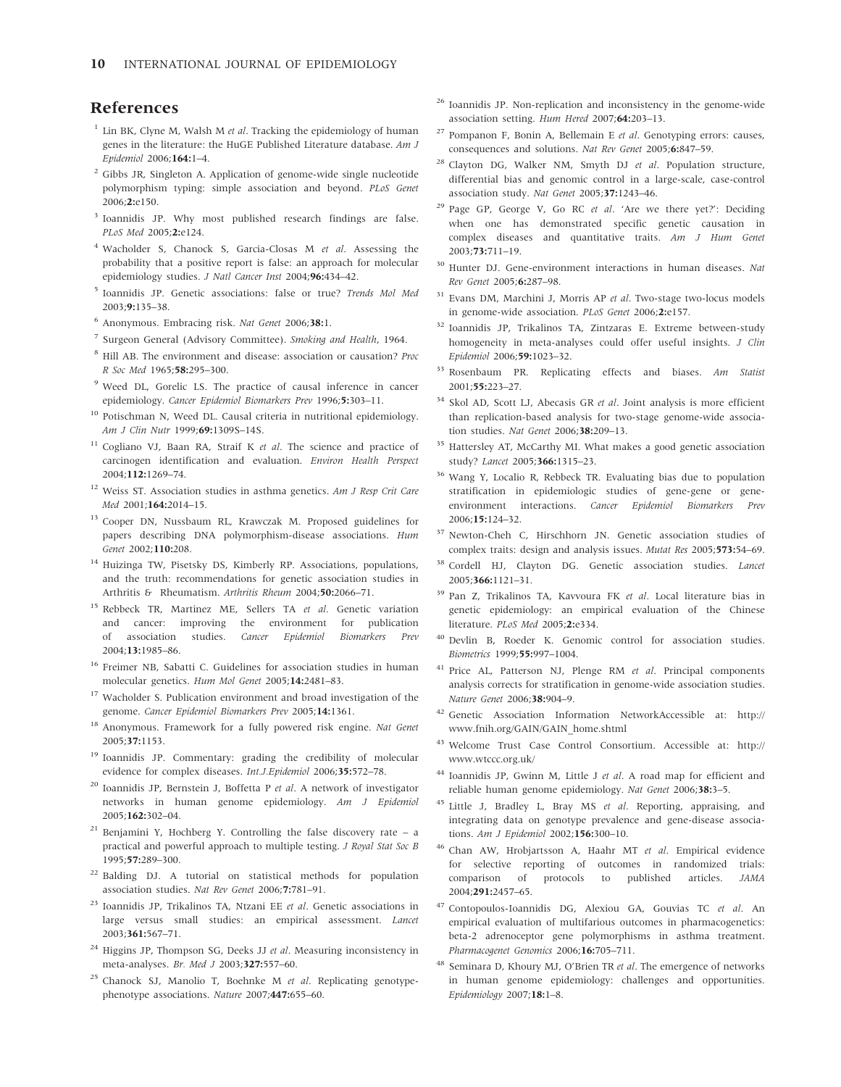# References

- $1$  Lin BK, Clyne M, Walsh M et al. Tracking the epidemiology of human genes in the literature: the HuGE Published Literature database. Am J Epidemiol 2006;164:1–4.
- $2$  Gibbs JR, Singleton A. Application of genome-wide single nucleotide polymorphism typing: simple association and beyond. PLoS Genet 2006;2:e150.
- <sup>3</sup> Ioannidis JP. Why most published research findings are false. PLoS Med 2005;2:e124.
- <sup>4</sup> Wacholder S, Chanock S, Garcia-Closas M et al. Assessing the probability that a positive report is false: an approach for molecular epidemiology studies. J Natl Cancer Inst 2004;96:434–42.
- <sup>5</sup> Ioannidis JP. Genetic associations: false or true? Trends Mol Med 2003;9:135–38.
- <sup>6</sup> Anonymous. Embracing risk. Nat Genet 2006;38:1.
- <sup>7</sup> Surgeon General (Advisory Committee). Smoking and Health, 1964.
- <sup>8</sup> Hill AB. The environment and disease: association or causation? *Proc* R Soc Med 1965;58:295–300.
- <sup>9</sup> Weed DL, Gorelic LS. The practice of causal inference in cancer epidemiology. Cancer Epidemiol Biomarkers Prev 1996;5:303-11.
- <sup>10</sup> Potischman N, Weed DL. Causal criteria in nutritional epidemiology. Am J Clin Nutr 1999;69:1309S–14S.
- $11$  Cogliano VJ, Baan RA, Straif K et al. The science and practice of carcinogen identification and evaluation. Environ Health Perspect 2004;112:1269–74.
- $12$  Weiss ST. Association studies in asthma genetics. Am J Resp Crit Care Med 2001;164:2014–15.
- <sup>13</sup> Cooper DN, Nussbaum RL, Krawczak M. Proposed guidelines for papers describing DNA polymorphism-disease associations. Hum Genet 2002;110:208.
- <sup>14</sup> Huizinga TW, Pisetsky DS, Kimberly RP. Associations, populations, and the truth: recommendations for genetic association studies in Arthritis & Rheumatism. Arthritis Rheum 2004;50:2066–71.
- <sup>15</sup> Rebbeck TR, Martinez ME, Sellers TA et al. Genetic variation and cancer: improving the environment for publication of association studies. Cancer Epidemiol Biomarkers Prev 2004;13:1985–86.
- <sup>16</sup> Freimer NB, Sabatti C. Guidelines for association studies in human molecular genetics. Hum Mol Genet 2005;14:2481–83.
- <sup>17</sup> Wacholder S. Publication environment and broad investigation of the genome. Cancer Epidemiol Biomarkers Prev 2005;14:1361.
- <sup>18</sup> Anonymous. Framework for a fully powered risk engine. Nat Genet 2005;37:1153.
- <sup>19</sup> Ioannidis JP. Commentary: grading the credibility of molecular evidence for complex diseases. Int.J.Epidemiol 2006;35:572–78.
- $20$  Ioannidis JP, Bernstein J, Boffetta P et al. A network of investigator networks in human genome epidemiology. Am J Epidemiol 2005;162:302–04.
- $21$  Benjamini Y, Hochberg Y. Controlling the false discovery rate a practical and powerful approach to multiple testing. J Royal Stat Soc B 1995;57:289–300.
- <sup>22</sup> Balding DJ. A tutorial on statistical methods for population association studies. Nat Rev Genet 2006;7:781–91.
- $23$  Ioannidis JP, Trikalinos TA, Ntzani EE et al. Genetic associations in large versus small studies: an empirical assessment. Lancet 2003;361:567–71.
- $24$  Higgins JP, Thompson SG, Deeks JJ et al. Measuring inconsistency in meta-analyses. Br. Med J 2003;327:557–60.
- $25$  Chanock SJ, Manolio T, Boehnke M et al. Replicating genotypephenotype associations. Nature 2007;447:655–60.
- $26$  Ioannidis JP. Non-replication and inconsistency in the genome-wide association setting. Hum Hered 2007;64:203–13.
- <sup>27</sup> Pompanon F, Bonin A, Bellemain E et al. Genotyping errors: causes, consequences and solutions. Nat Rev Genet 2005;6:847–59.
- $28$  Clayton DG, Walker NM, Smyth DJ et al. Population structure, differential bias and genomic control in a large-scale, case-control association study. Nat Genet 2005;37:1243–46.
- <sup>29</sup> Page GP, George V, Go RC et al. 'Are we there yet?': Deciding when one has demonstrated specific genetic causation in complex diseases and quantitative traits. Am J Hum Genet 2003;73:711–19.
- <sup>30</sup> Hunter DJ. Gene-environment interactions in human diseases. Nat Rev Genet 2005;6:287–98.
- $31$  Evans DM, Marchini J, Morris AP et al. Two-stage two-locus models in genome-wide association. PLoS Genet 2006;2:e157.
- <sup>32</sup> Ioannidis JP, Trikalinos TA, Zintzaras E. Extreme between-study homogeneity in meta-analyses could offer useful insights. J Clin Epidemiol 2006;59:1023–32.
- <sup>33</sup> Rosenbaum PR. Replicating effects and biases. Am Statist 2001;55:223–27.
- $34$  Skol AD, Scott LJ, Abecasis GR et al. Joint analysis is more efficient than replication-based analysis for two-stage genome-wide association studies. Nat Genet 2006;38:209–13.
- <sup>35</sup> Hattersley AT, McCarthy MI, What makes a good genetic association study? Lancet 2005;366:1315–23.
- <sup>36</sup> Wang Y, Localio R, Rebbeck TR. Evaluating bias due to population stratification in epidemiologic studies of gene-gene or geneenvironment interactions. Cancer Epidemiol Biomarkers Prev 2006;15:124–32.
- <sup>37</sup> Newton-Cheh C, Hirschhorn JN. Genetic association studies of complex traits: design and analysis issues. Mutat Res 2005;573:54-69.
- <sup>38</sup> Cordell HJ, Clayton DG. Genetic association studies. Lancet 2005;366:1121–31.
- <sup>39</sup> Pan Z, Trikalinos TA, Kavvoura FK et al. Local literature bias in genetic epidemiology: an empirical evaluation of the Chinese literature. PLoS Med 2005;2:e334.
- <sup>40</sup> Devlin B, Roeder K. Genomic control for association studies. Biometrics 1999;55:997–1004.
- <sup>41</sup> Price AL, Patterson NJ, Plenge RM et al. Principal components analysis corrects for stratification in genome-wide association studies. Nature Genet 2006;38:904–9.
- <sup>42</sup> Genetic Association Information NetworkAccessible at: <http://> www.fnih.org/GAIN/GAIN\_home.shtml
- 43 Welcome Trust Case Control Consortium. Accessible at: <http://> www.wtccc.org.uk/
- <sup>44</sup> Ioannidis JP, Gwinn M, Little J et al. A road map for efficient and reliable human genome epidemiology. Nat Genet 2006;38:3–5.
- <sup>45</sup> Little J, Bradley L, Bray MS et al. Reporting, appraising, and integrating data on genotype prevalence and gene-disease associations. Am J Epidemiol 2002;156:300-10.
- <sup>46</sup> Chan AW, Hrobjartsson A, Haahr MT et al. Empirical evidence for selective reporting of outcomes in randomized trials: comparison of protocols to published articles. JAMA 2004;291:2457–65.
- <sup>47</sup> Contopoulos-Ioannidis DG, Alexiou GA, Gouvias TC et al. An empirical evaluation of multifarious outcomes in pharmacogenetics: beta-2 adrenoceptor gene polymorphisms in asthma treatment. Pharmacogenet Genomics 2006;16:705-711.
- Seminara D, Khoury MJ, O'Brien TR et al. The emergence of networks in human genome epidemiology: challenges and opportunities. Epidemiology 2007;18:1–8.